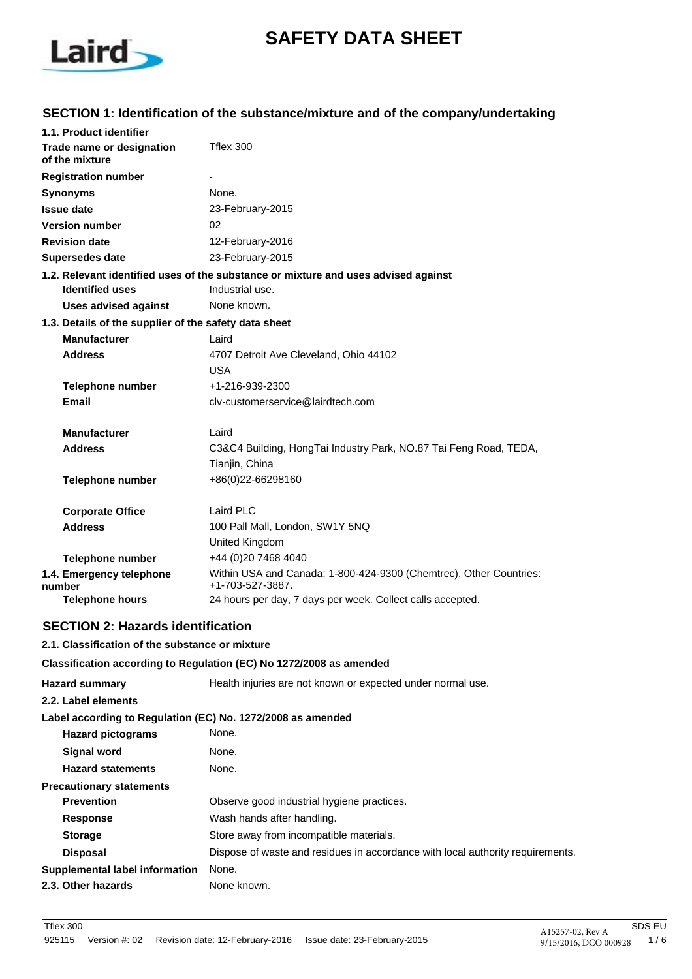

# **SAFETY DATA SHEET**

# **SECTION 1: Identification of the substance/mixture and of the company/undertaking**

| 1.1. Product identifier                               |                                                                                        |
|-------------------------------------------------------|----------------------------------------------------------------------------------------|
| Trade name or designation<br>of the mixture           | Tflex 300                                                                              |
| <b>Registration number</b>                            |                                                                                        |
| <b>Synonyms</b>                                       | None.                                                                                  |
| <b>Issue date</b>                                     | 23-February-2015                                                                       |
| <b>Version number</b>                                 | 02                                                                                     |
| <b>Revision date</b>                                  | 12-February-2016                                                                       |
| <b>Supersedes date</b>                                | 23-February-2015                                                                       |
|                                                       | 1.2. Relevant identified uses of the substance or mixture and uses advised against     |
| <b>Identified uses</b>                                | Industrial use.                                                                        |
| <b>Uses advised against</b>                           | None known.                                                                            |
| 1.3. Details of the supplier of the safety data sheet |                                                                                        |
| <b>Manufacturer</b>                                   | Laird                                                                                  |
| <b>Address</b>                                        | 4707 Detroit Ave Cleveland, Ohio 44102                                                 |
|                                                       | <b>USA</b>                                                                             |
| <b>Telephone number</b>                               | +1-216-939-2300                                                                        |
| Email                                                 | cly-customerservice@lairdtech.com                                                      |
| <b>Manufacturer</b>                                   | Laird                                                                                  |
| <b>Address</b>                                        | C3&C4 Building, HongTai Industry Park, NO.87 Tai Feng Road, TEDA,<br>Tianjin, China    |
| <b>Telephone number</b>                               | +86(0)22-66298160                                                                      |
| <b>Corporate Office</b>                               | Laird PLC                                                                              |
| <b>Address</b>                                        | 100 Pall Mall, London, SW1Y 5NQ                                                        |
|                                                       | United Kingdom                                                                         |
| <b>Telephone number</b>                               | +44 (0)20 7468 4040                                                                    |
| 1.4. Emergency telephone<br>number                    | Within USA and Canada: 1-800-424-9300 (Chemtrec). Other Countries:<br>+1-703-527-3887. |
| <b>Telephone hours</b>                                | 24 hours per day, 7 days per week. Collect calls accepted.                             |

# **SECTION 2: Hazards identification**

### **2.1. Classification of the substance or mixture**

#### **Classification according to Regulation (EC) No 1272/2008 as amended**

| <b>Hazard summary</b>                                       | Health injuries are not known or expected under normal use.                    |  |
|-------------------------------------------------------------|--------------------------------------------------------------------------------|--|
| 2.2. Label elements                                         |                                                                                |  |
| Label according to Regulation (EC) No. 1272/2008 as amended |                                                                                |  |
| <b>Hazard pictograms</b>                                    | None.                                                                          |  |
| <b>Signal word</b>                                          | None.                                                                          |  |
| <b>Hazard statements</b>                                    | None.                                                                          |  |
| <b>Precautionary statements</b>                             |                                                                                |  |
| <b>Prevention</b>                                           | Observe good industrial hygiene practices.                                     |  |
| <b>Response</b>                                             | Wash hands after handling.                                                     |  |
| <b>Storage</b>                                              | Store away from incompatible materials.                                        |  |
| <b>Disposal</b>                                             | Dispose of waste and residues in accordance with local authority requirements. |  |
| Supplemental label information                              | None.                                                                          |  |
| 2.3. Other hazards                                          | None known.                                                                    |  |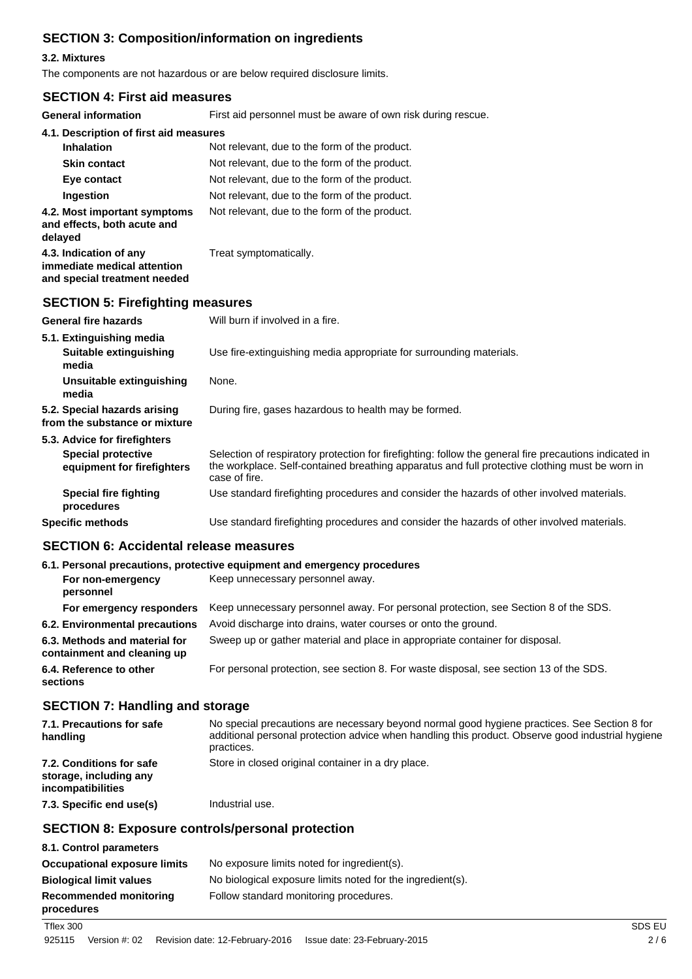# **SECTION 3: Composition/information on ingredients**

### **3.2. Mixtures**

The components are not hazardous or are below required disclosure limits.

### **SECTION 4: First aid measures**

**General information** First aid personnel must be aware of own risk during rescue.

| General Information                                                                   | First ald personnel must be aware of own risk during rescue. |
|---------------------------------------------------------------------------------------|--------------------------------------------------------------|
| 4.1. Description of first aid measures                                                |                                                              |
| <b>Inhalation</b>                                                                     | Not relevant, due to the form of the product.                |
| <b>Skin contact</b>                                                                   | Not relevant, due to the form of the product.                |
| Eye contact                                                                           | Not relevant, due to the form of the product.                |
| <b>Ingestion</b>                                                                      | Not relevant, due to the form of the product.                |
| 4.2. Most important symptoms<br>and effects, both acute and<br>delayed                | Not relevant, due to the form of the product.                |
| 4.3. Indication of any<br>immediate medical attention<br>and special treatment needed | Treat symptomatically.                                       |
| <b>SECTION 5: Firefighting measures</b>                                               |                                                              |
| <b>General fire hazards</b>                                                           | Will burn if involved in a fire.                             |

| 5.1. Extinguishing media<br>Suitable extinguishing<br>media                             | Use fire-extinguishing media appropriate for surrounding materials.                                                                                                                                                       |  |
|-----------------------------------------------------------------------------------------|---------------------------------------------------------------------------------------------------------------------------------------------------------------------------------------------------------------------------|--|
| Unsuitable extinguishing<br>media                                                       | None.                                                                                                                                                                                                                     |  |
| 5.2. Special hazards arising<br>from the substance or mixture                           | During fire, gases hazardous to health may be formed.                                                                                                                                                                     |  |
| 5.3. Advice for firefighters<br><b>Special protective</b><br>equipment for firefighters | Selection of respiratory protection for firefighting: follow the general fire precautions indicated in<br>the workplace. Self-contained breathing apparatus and full protective clothing must be worn in<br>case of fire. |  |
| Special fire fighting<br>procedures                                                     | Use standard firefighting procedures and consider the hazards of other involved materials.                                                                                                                                |  |
| <b>Specific methods</b>                                                                 | Use standard firefighting procedures and consider the hazards of other involved materials.                                                                                                                                |  |

# **SECTION 6: Accidental release measures**

|                                                              | 6.1. Personal precautions, protective equipment and emergency procedures               |  |
|--------------------------------------------------------------|----------------------------------------------------------------------------------------|--|
| For non-emergency<br>personnel                               | Keep unnecessary personnel away.                                                       |  |
| For emergency responders                                     | Keep unnecessary personnel away. For personal protection, see Section 8 of the SDS.    |  |
| 6.2. Environmental precautions                               | Avoid discharge into drains, water courses or onto the ground.                         |  |
| 6.3. Methods and material for<br>containment and cleaning up | Sweep up or gather material and place in appropriate container for disposal.           |  |
| 6.4. Reference to other<br>sections                          | For personal protection, see section 8. For waste disposal, see section 13 of the SDS. |  |

# **SECTION 7: Handling and storage**

| 7.1. Precautions for safe<br>handling                                   | No special precautions are necessary beyond normal good hygiene practices. See Section 8 for<br>additional personal protection advice when handling this product. Observe good industrial hygiene<br>practices. |
|-------------------------------------------------------------------------|-----------------------------------------------------------------------------------------------------------------------------------------------------------------------------------------------------------------|
| 7.2. Conditions for safe<br>storage, including any<br>incompatibilities | Store in closed original container in a dry place.                                                                                                                                                              |
| 7.3. Specific end use(s)                                                | Industrial use.                                                                                                                                                                                                 |

# **SECTION 8: Exposure controls/personal protection**

| 8.1. Control parameters                     |                                                            |
|---------------------------------------------|------------------------------------------------------------|
| <b>Occupational exposure limits</b>         | No exposure limits noted for ingredient(s).                |
| <b>Biological limit values</b>              | No biological exposure limits noted for the ingredient(s). |
| <b>Recommended monitoring</b><br>procedures | Follow standard monitoring procedures.                     |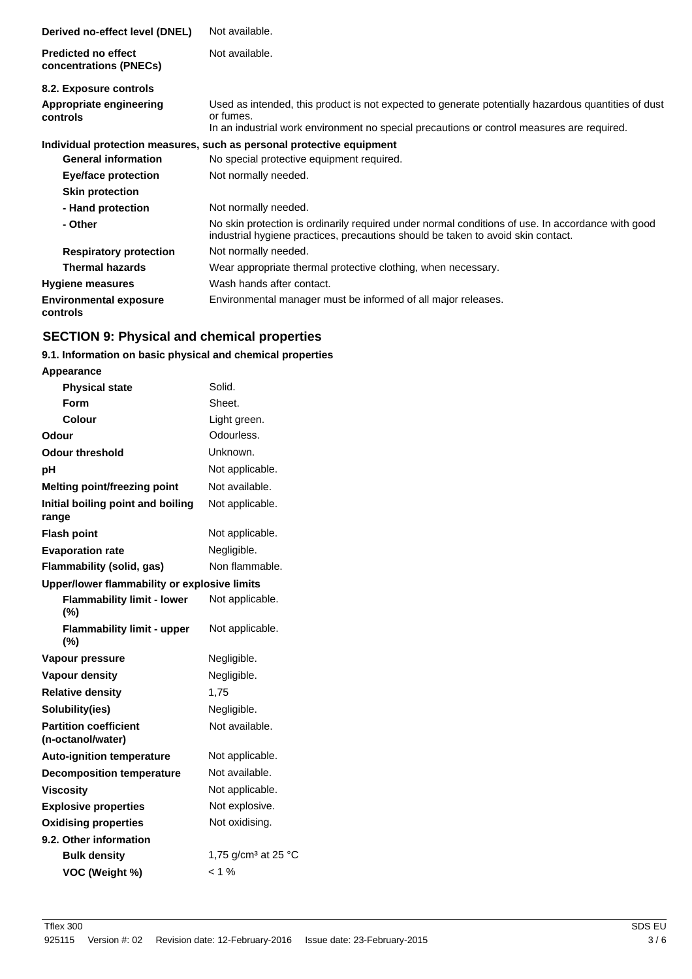| Derived no-effect level (DNEL)                       | Not available.                                                                                                                                                                                                 |
|------------------------------------------------------|----------------------------------------------------------------------------------------------------------------------------------------------------------------------------------------------------------------|
| <b>Predicted no effect</b><br>concentrations (PNECs) | Not available.                                                                                                                                                                                                 |
| 8.2. Exposure controls                               |                                                                                                                                                                                                                |
| Appropriate engineering<br>controls                  | Used as intended, this product is not expected to generate potentially hazardous quantities of dust<br>or fumes.<br>In an industrial work environment no special precautions or control measures are required. |
|                                                      | Individual protection measures, such as personal protective equipment                                                                                                                                          |
| <b>General information</b>                           | No special protective equipment required.                                                                                                                                                                      |
| Eye/face protection                                  | Not normally needed.                                                                                                                                                                                           |
| <b>Skin protection</b>                               |                                                                                                                                                                                                                |
| - Hand protection                                    | Not normally needed.                                                                                                                                                                                           |
| - Other                                              | No skin protection is ordinarily required under normal conditions of use. In accordance with good<br>industrial hygiene practices, precautions should be taken to avoid skin contact.                          |
| <b>Respiratory protection</b>                        | Not normally needed.                                                                                                                                                                                           |
| <b>Thermal hazards</b>                               | Wear appropriate thermal protective clothing, when necessary.                                                                                                                                                  |
| <b>Hygiene measures</b>                              | Wash hands after contact.                                                                                                                                                                                      |
| <b>Environmental exposure</b><br>controls            | Environmental manager must be informed of all major releases.                                                                                                                                                  |

# **SECTION 9: Physical and chemical properties**

# **9.1. Information on basic physical and chemical properties**

| <b>Appearance</b>                                 |                                           |
|---------------------------------------------------|-------------------------------------------|
| <b>Physical state</b>                             | Solid.                                    |
| Form                                              | Sheet.                                    |
| Colour                                            | Light green.                              |
| Odour                                             | Odourless.                                |
| <b>Odour threshold</b>                            | Unknown.                                  |
| рH                                                | Not applicable.                           |
| <b>Melting point/freezing point</b>               | Not available.                            |
| Initial boiling point and boiling<br>range        | Not applicable.                           |
| <b>Flash point</b>                                | Not applicable.                           |
| <b>Evaporation rate</b>                           | Negligible.                               |
| Flammability (solid, gas)                         | Non flammable.                            |
| Upper/lower flammability or explosive limits      |                                           |
| <b>Flammability limit - lower</b><br>$(\% )$      | Not applicable.                           |
| <b>Flammability limit - upper</b><br>(%)          | Not applicable.                           |
| Vapour pressure                                   | Negligible.                               |
| <b>Vapour density</b>                             | Negligible.                               |
| <b>Relative density</b>                           | 1,75                                      |
| Solubility(ies)                                   | Negligible.                               |
| <b>Partition coefficient</b><br>(n-octanol/water) | Not available.                            |
| <b>Auto-ignition temperature</b>                  | Not applicable.                           |
| <b>Decomposition temperature</b>                  | Not available.                            |
| <b>Viscosity</b>                                  | Not applicable.                           |
| <b>Explosive properties</b>                       | Not explosive.                            |
| <b>Oxidising properties</b>                       | Not oxidising.                            |
| 9.2. Other information                            |                                           |
| <b>Bulk density</b>                               | 1,75 g/cm <sup>3</sup> at 25 $^{\circ}$ C |
| VOC (Weight %)                                    | $< 1 \%$                                  |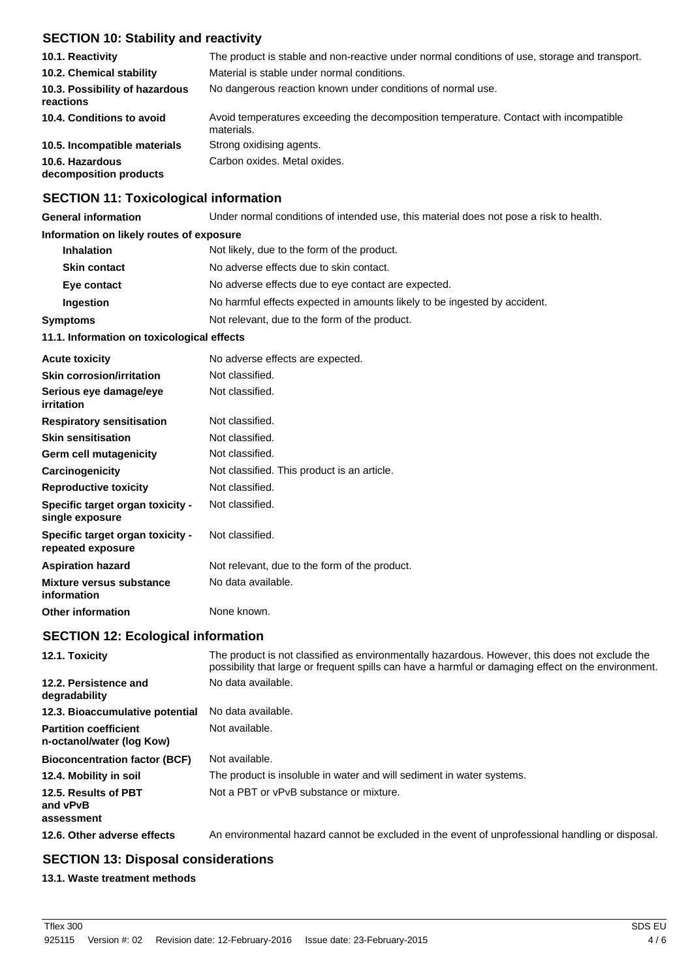# **SECTION 10: Stability and reactivity**

| 10.1. Reactivity                            | The product is stable and non-reactive under normal conditions of use, storage and transport.       |
|---------------------------------------------|-----------------------------------------------------------------------------------------------------|
| 10.2. Chemical stability                    | Material is stable under normal conditions.                                                         |
| 10.3. Possibility of hazardous<br>reactions | No dangerous reaction known under conditions of normal use.                                         |
| 10.4. Conditions to avoid                   | Avoid temperatures exceeding the decomposition temperature. Contact with incompatible<br>materials. |
| 10.5. Incompatible materials                | Strong oxidising agents.                                                                            |
| 10.6. Hazardous<br>decomposition products   | Carbon oxides. Metal oxides.                                                                        |

### **SECTION 11: Toxicological information**

**General information** Under normal conditions of intended use, this material does not pose a risk to health.

# **Information on likely routes of exposure**

| 11.1. Information on toxicological effects                       |                                                                           |  |
|------------------------------------------------------------------|---------------------------------------------------------------------------|--|
| Not relevant, due to the form of the product.<br><b>Symptoms</b> |                                                                           |  |
| Ingestion                                                        | No harmful effects expected in amounts likely to be ingested by accident. |  |
| Eye contact                                                      | No adverse effects due to eye contact are expected.                       |  |
| <b>Skin contact</b>                                              | No adverse effects due to skin contact.                                   |  |
| <b>Inhalation</b>                                                | Not likely, due to the form of the product.                               |  |

| <b>Acute toxicity</b>                                 | No adverse effects are expected.              |
|-------------------------------------------------------|-----------------------------------------------|
| <b>Skin corrosion/irritation</b>                      | Not classified.                               |
| Serious eye damage/eye<br>irritation                  | Not classified.                               |
| <b>Respiratory sensitisation</b>                      | Not classified.                               |
| <b>Skin sensitisation</b>                             | Not classified.                               |
| Germ cell mutagenicity                                | Not classified.                               |
| Carcinogenicity                                       | Not classified. This product is an article.   |
| <b>Reproductive toxicity</b>                          | Not classified.                               |
| Specific target organ toxicity -<br>single exposure   | Not classified.                               |
| Specific target organ toxicity -<br>repeated exposure | Not classified.                               |
| <b>Aspiration hazard</b>                              | Not relevant, due to the form of the product. |
| Mixture versus substance<br>information               | No data available.                            |
| <b>Other information</b>                              | None known.                                   |

# **SECTION 12: Ecological information**

| 12.1. Toxicity                                            | The product is not classified as environmentally hazardous. However, this does not exclude the<br>possibility that large or frequent spills can have a harmful or damaging effect on the environment. |
|-----------------------------------------------------------|-------------------------------------------------------------------------------------------------------------------------------------------------------------------------------------------------------|
| 12.2. Persistence and<br>degradability                    | No data available.                                                                                                                                                                                    |
| 12.3. Bioaccumulative potential                           | No data available.                                                                                                                                                                                    |
| <b>Partition coefficient</b><br>n-octanol/water (log Kow) | Not available.                                                                                                                                                                                        |
| <b>Bioconcentration factor (BCF)</b>                      | Not available.                                                                                                                                                                                        |
| 12.4. Mobility in soil                                    | The product is insoluble in water and will sediment in water systems.                                                                                                                                 |
| 12.5. Results of PBT<br>and vPvB<br>assessment            | Not a PBT or vPvB substance or mixture.                                                                                                                                                               |
| 12.6. Other adverse effects                               | An environmental hazard cannot be excluded in the event of unprofessional handling or disposal.                                                                                                       |

# **SECTION 13: Disposal considerations**

### **13.1. Waste treatment methods**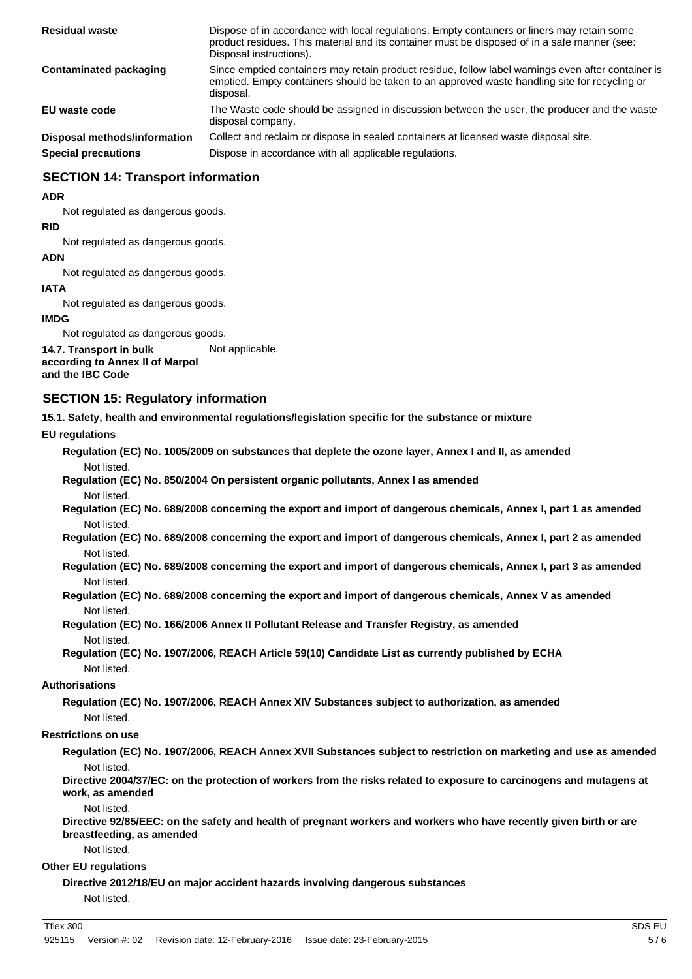| <b>Residual waste</b>        | Dispose of in accordance with local regulations. Empty containers or liners may retain some<br>product residues. This material and its container must be disposed of in a safe manner (see:<br>Disposal instructions). |
|------------------------------|------------------------------------------------------------------------------------------------------------------------------------------------------------------------------------------------------------------------|
| Contaminated packaging       | Since emptied containers may retain product residue, follow label warnings even after container is<br>emptied. Empty containers should be taken to an approved waste handling site for recycling or<br>disposal.       |
| EU waste code                | The Waste code should be assigned in discussion between the user, the producer and the waste<br>disposal company.                                                                                                      |
| Disposal methods/information | Collect and reclaim or dispose in sealed containers at licensed waste disposal site.                                                                                                                                   |
| <b>Special precautions</b>   | Dispose in accordance with all applicable regulations.                                                                                                                                                                 |

# **SECTION 14: Transport information**

#### **ADR**

Not regulated as dangerous goods.

#### **RID**

Not regulated as dangerous goods.

#### **ADN**

Not regulated as dangerous goods.

### **IATA**

Not regulated as dangerous goods.

#### **IMDG**

Not regulated as dangerous goods.

**14.7. Transport in bulk** Not applicable. **according to Annex II of Marpol**

# **and the IBC Code**

# **SECTION 15: Regulatory information**

**15.1. Safety, health and environmental regulations/legislation specific for the substance or mixture**

### **EU regulations**

**Regulation (EC) No. 1005/2009 on substances that deplete the ozone layer, Annex I and II, as amended** Not listed.

**Regulation (EC) No. 850/2004 On persistent organic pollutants, Annex I as amended** Not listed.

**Regulation (EC) No. 689/2008 concerning the export and import of dangerous chemicals, Annex I, part 1 as amended** Not listed.

**Regulation (EC) No. 689/2008 concerning the export and import of dangerous chemicals, Annex I, part 2 as amended** Not listed.

**Regulation (EC) No. 689/2008 concerning the export and import of dangerous chemicals, Annex I, part 3 as amended** Not listed.

**Regulation (EC) No. 689/2008 concerning the export and import of dangerous chemicals, Annex V as amended** Not listed.

**Regulation (EC) No. 166/2006 Annex II Pollutant Release and Transfer Registry, as amended** Not listed.

**Regulation (EC) No. 1907/2006, REACH Article 59(10) Candidate List as currently published by ECHA** Not listed.

### **Authorisations**

**Regulation (EC) No. 1907/2006, REACH Annex XIV Substances subject to authorization, as amended** Not listed.

### **Restrictions on use**

**Regulation (EC) No. 1907/2006, REACH Annex XVII Substances subject to restriction on marketing and use as amended** Not listed.

**Directive 2004/37/EC: on the protection of workers from the risks related to exposure to carcinogens and mutagens at work, as amended**

Not listed.

**Directive 92/85/EEC: on the safety and health of pregnant workers and workers who have recently given birth or are breastfeeding, as amended**

Not listed.

### **Other EU regulations**

**Directive 2012/18/EU on major accident hazards involving dangerous substances** Not listed.